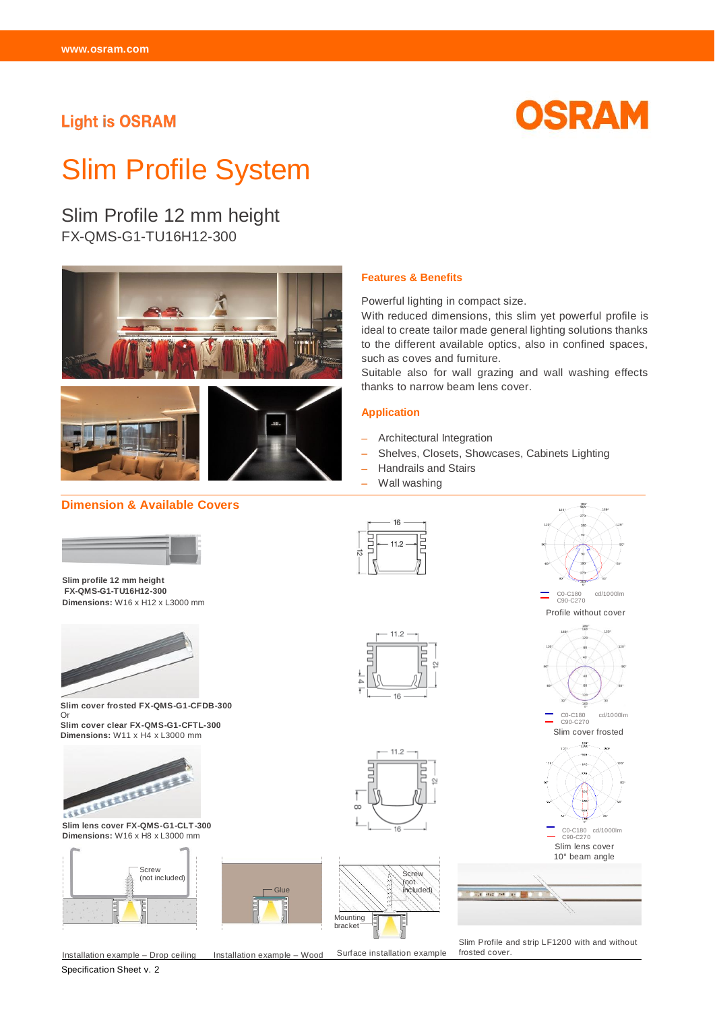## **Light is OSRAM**



# Slim Profile System

Slim Profile 12 mm height FX-QMS-G1-TU16H12-300







#### **Dimension & Available Covers**

## **Features & Benefits**

Powerful lighting in compact size.

With reduced dimensions, this slim yet powerful profile is ideal to create tailor made general lighting solutions thanks to the different available optics, also in confined spaces, such as coves and furniture.

Suitable also for wall grazing and wall washing effects thanks to narrow beam lens cover.

#### **Application**

- Architectural Integration
- Shelves, Closets, Showcases, Cabinets Lighting
- Handrails and Stairs

Ę

- Wall washing

 $16$ 

 $112$ 

 $\overline{a}$ 



**Slim profile 12 mm height FX-QMS-G1-TU16H12-300 Dimensions:** W16 x H12 x L3000 mm



**Slim cover frosted FX-QMS-G1-CFDB-300**  Or

**Slim cover clear FX-QMS-G1-CFTL-300 Dimensions:** W11 x H4 x L3000 mm



**Slim lens cover FX-QMS-G1-CLT-300 Dimensions:** W16 x H8 x L3000 mm



Specification Sheet v. 2

Installation example – Drop ceiling Installation example – Wood Surface installation example

**Glue** 

Slim cover frosted C0-C180 cd/1000lm C90-C270 Slim lens cover 10° beam angle **Library of** 

Profile without cover C0-C180 cd/1000lm C90-C270

Ξ

C0-C180 cd/1000lm C90-C270

Slim Profile and strip LF1200 with and without frosted cover.



E

 $\infty$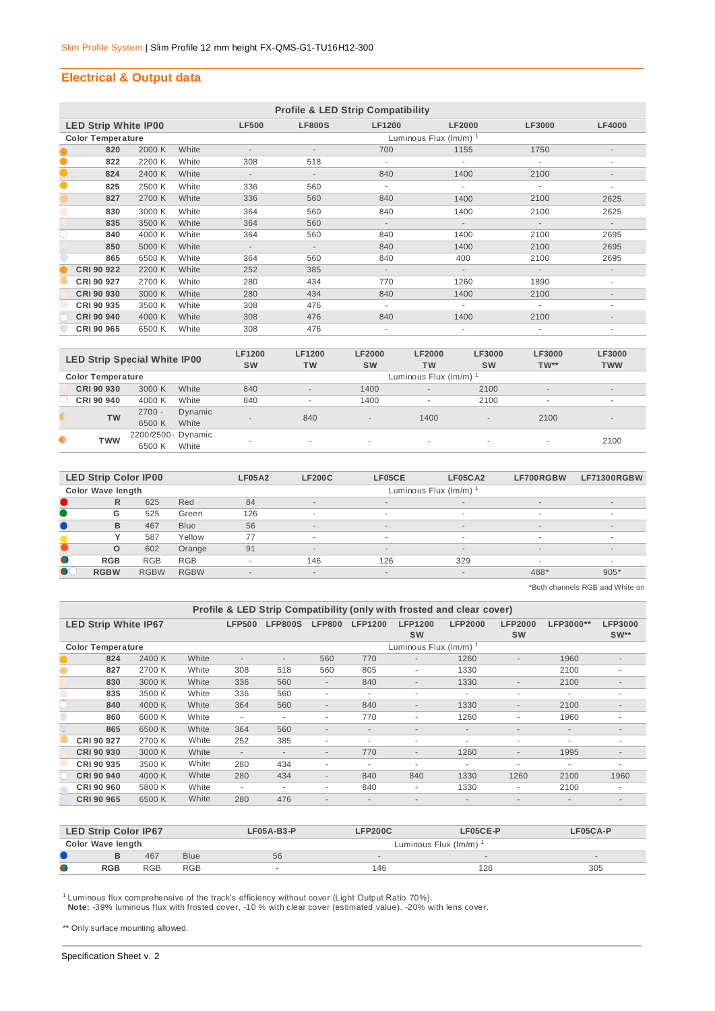## **Electrical & Output data**

|           | <b>Profile &amp; LED Strip Compatibility</b> |        |       |                          |                                    |                          |                          |                          |                          |  |  |  |  |
|-----------|----------------------------------------------|--------|-------|--------------------------|------------------------------------|--------------------------|--------------------------|--------------------------|--------------------------|--|--|--|--|
|           | <b>LED Strip White IP00</b>                  |        |       | <b>LF500</b>             | <b>LF800S</b>                      | <b>LF1200</b>            | <b>LF2000</b>            | <b>LF3000</b>            | <b>LF4000</b>            |  |  |  |  |
|           | <b>Color Temperature</b>                     |        |       |                          | Luminous Flux $(\text{Im/m})^{-1}$ |                          |                          |                          |                          |  |  |  |  |
|           | 820                                          | 2000 K | White | $\overline{\phantom{a}}$ | $\overline{\phantom{a}}$           | 700                      | 1155                     | 1750                     | $\overline{\phantom{a}}$ |  |  |  |  |
| $\bullet$ | 822                                          | 2200 K | White | 308                      | 518                                | ÷.                       | ×                        |                          | $\overline{\phantom{a}}$ |  |  |  |  |
|           | 824                                          | 2400 K | White | $\sim$                   | $\overline{\phantom{a}}$           | 840                      | 1400                     | 2100                     | $\overline{\phantom{a}}$ |  |  |  |  |
| 0         | 825                                          | 2500 K | White | 336                      | 560                                | ÷.                       |                          |                          | ٠                        |  |  |  |  |
|           | 827                                          | 2700 K | White | 336                      | 560                                | 840                      | 1400                     | 2100                     | 2625                     |  |  |  |  |
|           | 830                                          | 3000 K | White | 364                      | 560                                | 840                      | 1400                     | 2100                     | 2625                     |  |  |  |  |
|           | 835                                          | 3500 K | White | 364                      | 560                                | $\sim$                   | $\sim$                   |                          | $\overline{\phantom{a}}$ |  |  |  |  |
| C         | 840                                          | 4000 K | White | 364                      | 560                                | 840                      | 1400                     | 2100                     | 2695                     |  |  |  |  |
|           | 850                                          | 5000 K | White | $\sim$                   | $\overline{\phantom{a}}$           | 840                      | 1400                     | 2100                     | 2695                     |  |  |  |  |
|           | 865                                          | 6500 K | White | 364                      | 560                                | 840                      | 400                      | 2100                     | 2695                     |  |  |  |  |
|           | CRI 90 922                                   | 2200 K | White | 252                      | 385                                | $\sim$                   | $\sim$                   | $\sim$                   | $\overline{\phantom{a}}$ |  |  |  |  |
|           | CRI 90 927                                   | 2700 K | White | 280                      | 434                                | 770                      | 1260                     | 1890                     | ۰                        |  |  |  |  |
|           | CRI 90 930                                   | 3000 K | White | 280                      | 434                                | 840                      | 1400                     | 2100                     | $\overline{\phantom{a}}$ |  |  |  |  |
|           | CRI 90 935                                   | 3500 K | White | 308                      | 476                                | $\overline{\phantom{a}}$ |                          |                          | ٠                        |  |  |  |  |
|           | CRI 90 940                                   | 4000 K | White | 308                      | 476                                | 840                      | 1400                     | 2100                     | $\overline{\phantom{a}}$ |  |  |  |  |
|           | CRI 90 965                                   | 6500 K | White | 308                      | 476                                | ÷.                       | $\overline{\phantom{a}}$ | $\overline{\phantom{a}}$ | ٠                        |  |  |  |  |

| <b>LED Strip Special White IP00</b> |                          |                    |         | <b>LF1200</b>            | LF1200                   | <b>LF2000</b>            | <b>LF2000</b>            | LF3000    | LF3000                   | <b>LF3000</b>  |  |  |  |
|-------------------------------------|--------------------------|--------------------|---------|--------------------------|--------------------------|--------------------------|--------------------------|-----------|--------------------------|----------------|--|--|--|
|                                     |                          |                    |         | <b>SW</b>                | <b>TW</b>                | <b>SW</b>                | <b>TW</b>                | <b>SW</b> | $TW**$                   | <b>TWW</b>     |  |  |  |
|                                     | <b>Color Temperature</b> |                    |         |                          | Luminous Flux (Im/m)     |                          |                          |           |                          |                |  |  |  |
|                                     | CRI 90 930               | 3000 K             | White   | 840                      | $\overline{\phantom{a}}$ | 1400                     | $\overline{a}$           | 2100      | $\overline{\phantom{a}}$ | $\sim$         |  |  |  |
|                                     | CRI 90 940               | 4000 K             | White   | 840                      | ۰                        | 1400                     | $\overline{\phantom{a}}$ | 2100      | ۰                        | ۰              |  |  |  |
|                                     | <b>TW</b>                | $2700 -$           | Dynamic | $\overline{\phantom{a}}$ | 840                      | $\overline{a}$           | 1400                     |           | 2100                     | $\overline{a}$ |  |  |  |
|                                     |                          | 6500 K             | White   |                          |                          |                          |                          |           |                          |                |  |  |  |
|                                     | <b>TWW</b>               | 2200/2500- Dynamic |         | ۰                        |                          |                          |                          | . .       | ۰                        | 2100           |  |  |  |
|                                     |                          | 6500 K             | White   |                          | ۰                        | $\overline{\phantom{a}}$ | $\overline{\phantom{a}}$ |           |                          |                |  |  |  |

|           | <b>LED Strip Color IP00</b> |             |             | <b>LF05A2</b>            | <b>LF200C</b>            | LF05CE | LF05CA2 | LF700RGBW | LF71300RGBW              |  |  |  |
|-----------|-----------------------------|-------------|-------------|--------------------------|--------------------------|--------|---------|-----------|--------------------------|--|--|--|
|           | <b>Color Wave length</b>    |             |             |                          | Luminous Flux (Im/m)     |        |         |           |                          |  |  |  |
|           | $\mathsf{R}$                | 625         | Red         | 84                       | $\overline{\phantom{a}}$ | $\sim$ | $\sim$  | $\sim$    |                          |  |  |  |
|           | G                           | 525         | Green       | 126                      |                          | $\sim$ | ۰       | ۰         |                          |  |  |  |
|           | B                           | 467         | <b>Blue</b> | 56                       | $\overline{a}$           | $\sim$ | $\sim$  | $\sim$    | $\overline{\phantom{a}}$ |  |  |  |
|           |                             | 587         | Yellow      | 77                       | $\overline{\phantom{a}}$ |        | ۰       |           |                          |  |  |  |
|           | $\circ$                     | 602         | Orange      | 91                       | $\overline{\phantom{a}}$ | $\sim$ | $\sim$  | $\sim$    | $\overline{a}$           |  |  |  |
| $\bullet$ | <b>RGB</b>                  | <b>RGB</b>  | <b>RGB</b>  | $\overline{\phantom{a}}$ | 146                      | 126    | 329     |           |                          |  |  |  |
| $\bullet$ | <b>RGBW</b>                 | <b>RGBW</b> | <b>RGBW</b> | $\sim$                   | $\overline{\phantom{a}}$ | $\sim$ | $\sim$  | 488*      | $905*$                   |  |  |  |

\*Both channels RGB and White on

| Profile & LED Strip Compatibility (only with frosted and clear cover) |        |       |                          |                          |                          |                          |                             |                          |                             |                          |                          |  |  |
|-----------------------------------------------------------------------|--------|-------|--------------------------|--------------------------|--------------------------|--------------------------|-----------------------------|--------------------------|-----------------------------|--------------------------|--------------------------|--|--|
| <b>LED Strip White IP67</b>                                           |        |       | <b>LFP500</b>            | <b>LFP800S</b>           | <b>LFP800</b>            | <b>LFP1200</b>           | <b>LFP1200</b><br><b>SW</b> | <b>LFP2000</b>           | <b>LFP2000</b><br><b>SW</b> | LFP3000**                | <b>LFP3000</b><br>$SW**$ |  |  |
| <b>Color Temperature</b>                                              |        |       |                          |                          |                          |                          | Luminous Flux (Im/m) 1      |                          |                             |                          |                          |  |  |
| 824                                                                   | 2400 K | White | $\overline{\phantom{a}}$ | $\overline{\phantom{a}}$ | 560                      | 770                      | $\overline{\phantom{a}}$    | 1260                     | $\sim$                      | 1960                     | $\overline{\phantom{a}}$ |  |  |
| 827                                                                   | 2700 K | White | 308                      | 518                      | 560                      | 805                      | ٠                           | 1330                     |                             | 2100                     | $\overline{\phantom{a}}$ |  |  |
| 830                                                                   | 3000 K | White | 336                      | 560                      | $\overline{\phantom{a}}$ | 840                      | $\overline{\phantom{a}}$    | 1330                     | $\sim$                      | 2100                     | $\sim$                   |  |  |
| 835                                                                   | 3500 K | White | 336                      | 560                      | ٠                        | ۰                        | ٠                           | ٠                        | ٠                           | ٠                        | $\overline{\phantom{a}}$ |  |  |
| 840                                                                   | 4000 K | White | 364                      | 560                      | $\overline{\phantom{a}}$ | 840                      | $\overline{\phantom{a}}$    | 1330                     | $\sim$                      | 2100                     | $\overline{\phantom{a}}$ |  |  |
| 860                                                                   | 6000 K | White | $\overline{\phantom{a}}$ | ٠                        | ۰                        | 770                      | ٠                           | 1260                     | ٠                           | 1960                     | $\overline{\phantom{a}}$ |  |  |
| 865                                                                   | 6500 K | White | 364                      | 560                      | $\overline{\phantom{a}}$ | $\overline{\phantom{a}}$ | $\overline{\phantom{a}}$    | $\overline{\phantom{a}}$ | ٠                           | $\overline{\phantom{a}}$ | $\overline{\phantom{a}}$ |  |  |
| CRI 90 927                                                            | 2700 K | White | 252                      | 385                      | ٠                        | ٠                        | ٠                           | ٠                        | ۰                           | ٠                        | ۰                        |  |  |
| CRI 90 930                                                            | 3000 K | White | $\overline{\phantom{a}}$ | $\overline{\phantom{a}}$ | $\sim$                   | 770                      | $\overline{\phantom{a}}$    | 1260                     | $\sim$                      | 1995                     | $\overline{\phantom{a}}$ |  |  |
| CRI 90 935                                                            | 3500 K | White | 280                      | 434                      | ٠                        | ٠                        | ٠                           | ۰                        | ٠                           | ٠                        | $\overline{\phantom{a}}$ |  |  |
| <b>CRI 90 940</b>                                                     | 4000 K | White | 280                      | 434                      | $\overline{\phantom{a}}$ | 840                      | 840                         | 1330                     | 1260                        | 2100                     | 1960                     |  |  |
| CRI 90 960                                                            | 5800 K | White | $\overline{\phantom{a}}$ | $\overline{\phantom{a}}$ | ۰                        | 840                      | ٠                           | 1330                     | ٠                           | 2100                     | $\overline{\phantom{a}}$ |  |  |
| CRI 90 965                                                            | 6500 K | White | 280                      | 476                      | ۰                        | $\overline{\phantom{a}}$ | $\overline{a}$              |                          | $\overline{\phantom{a}}$    |                          | $\overline{\phantom{a}}$ |  |  |

|   | <b>LED Strip Color IP67</b> |            |            | $LFO5A-B3-P$ | <b>LFP200C</b>       | LF05CE-P | LF05CA-P |  |  |  |  |
|---|-----------------------------|------------|------------|--------------|----------------------|----------|----------|--|--|--|--|
|   | <b>Color Wave length</b>    |            |            |              | Luminous Flux (Im/m) |          |          |  |  |  |  |
|   | 467<br><b>Blue</b>          |            | 56         |              | $\sim$               |          |          |  |  |  |  |
| O | <b>RGB</b>                  | <b>RGB</b> | <b>RGB</b> |              | 146                  | 126      | 305      |  |  |  |  |

<sup>1</sup> Luminous flux comprehensive of the track's efficiency without cover (Light Output Ratio 70%).  **Note:** -39% luminous flux with frosted cover, -10 % with clear cover (estimated value), -20% with lens cover.

\*\* Only surface mounting allowed.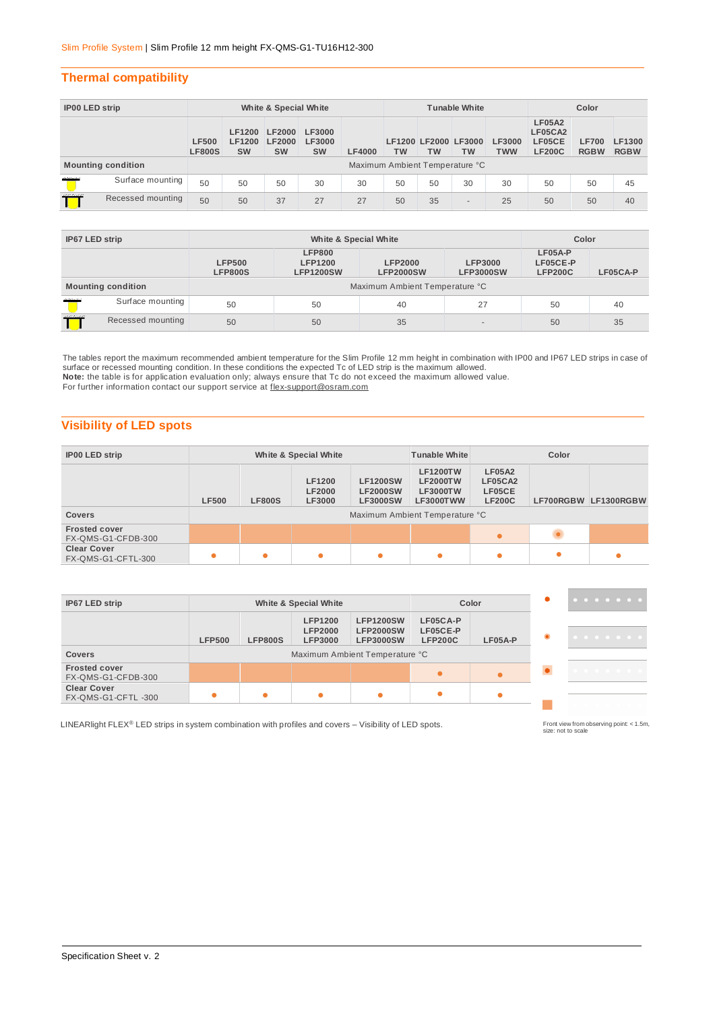## **Thermal compatibility**

| IP00 LED strip |                           | White & Special White         |                                      |                                      |                                      |               | <b>Tunable White</b>           |    |                                   |                             | Color                                               |                             |                       |
|----------------|---------------------------|-------------------------------|--------------------------------------|--------------------------------------|--------------------------------------|---------------|--------------------------------|----|-----------------------------------|-----------------------------|-----------------------------------------------------|-----------------------------|-----------------------|
|                |                           | <b>LF500</b><br><b>LF800S</b> | <b>LF1200</b><br>LF1200<br><b>SW</b> | <b>LF2000</b><br>LF2000<br><b>SW</b> | <b>LF3000</b><br>LF3000<br><b>SW</b> | <b>LF4000</b> | <b>TW</b>                      | ТW | LF1200 LF2000 LF3000<br><b>TW</b> | <b>LF3000</b><br><b>TWW</b> | <b>LF05A2</b><br>LF05CA2<br>LF05CE<br><b>LF200C</b> | <b>LF700</b><br><b>RGBW</b> | LF1300<br><b>RGBW</b> |
|                | <b>Mounting condition</b> |                               |                                      |                                      |                                      |               | Maximum Ambient Temperature °C |    |                                   |                             |                                                     |                             |                       |
| marie          | Surface mounting          | 50                            | 50                                   | 50                                   | 30                                   | 30            | 50                             | 50 | 30                                | 30                          | 50                                                  | 50                          | 45                    |
| ,,,,,,,,,      | Recessed mounting         | 50                            | 50                                   | 37                                   | 27                                   | 27            | 50                             | 35 | $\overline{\phantom{a}}$          | 25                          | 50                                                  | 50                          | 40                    |

| IP67 LED strip  |                           |                                 | Color                                               |                                    |                                    |                                       |          |  |  |
|-----------------|---------------------------|---------------------------------|-----------------------------------------------------|------------------------------------|------------------------------------|---------------------------------------|----------|--|--|
|                 |                           | <b>LFP500</b><br><b>LFP800S</b> | <b>LFP800</b><br><b>LFP1200</b><br><b>LFP1200SW</b> | <b>LFP2000</b><br><b>LFP2000SW</b> | <b>LFP3000</b><br><b>LFP3000SW</b> | LF05A-P<br>LF05CE-P<br><b>LFP200C</b> | LF05CA-P |  |  |
|                 | <b>Mounting condition</b> | Maximum Ambient Temperature °C  |                                                     |                                    |                                    |                                       |          |  |  |
| <b>Allenard</b> | Surface mounting          | 50                              | 50                                                  | 40                                 | 27                                 | 50                                    | 40       |  |  |
| man             | Recessed mounting         | 50                              | 50                                                  | 35                                 |                                    | 50                                    | 35       |  |  |

The tables report the maximum recommended ambient temperature for the Slim Profile 12 mm height in combination with IP00 and IP67 LED strips in case of<br>surface or recessed mounting condition. In these conditions the expect **Note:** the table is for application evaluation only; always ensure that Tc do not exceed the maximum allowed value. For further information contact our support service at flex-support@osram.com

## **Visibility of LED spots**

| <b>IP00 LED strip</b>                      |                                                                                                                                                                                                                                                                                                          |  | White & Special White |           | <b>Tunable White</b> | Color     |  |                      |  |
|--------------------------------------------|----------------------------------------------------------------------------------------------------------------------------------------------------------------------------------------------------------------------------------------------------------------------------------------------------------|--|-----------------------|-----------|----------------------|-----------|--|----------------------|--|
| <b>Covers</b>                              | <b>LF1200TW</b><br><b>LF05A2</b><br><b>LF1200</b><br><b>LF1200SW</b><br>LF05CA2<br><b>LF2000TW</b><br><b>LF2000</b><br><b>LF2000SW</b><br>LF05CE<br><b>LF3000TW</b><br><b>LF500</b><br><b>LF200C</b><br><b>LF800S</b><br><b>LF3000</b><br><b>LF3000SW</b><br>LF3000TWW<br>Maximum Ambient Temperature °C |  |                       |           |                      |           |  | LF700RGBW LF1300RGBW |  |
|                                            |                                                                                                                                                                                                                                                                                                          |  |                       |           |                      |           |  |                      |  |
| <b>Frosted cover</b><br>FX-QMS-G1-CFDB-300 |                                                                                                                                                                                                                                                                                                          |  |                       |           |                      | $\bullet$ |  |                      |  |
| <b>Clear Cover</b><br>FX-QMS-G1-CFTL-300   | $\bullet$                                                                                                                                                                                                                                                                                                |  | ٠                     | $\bullet$ |                      |           |  |                      |  |

| IP67 LED strip                             |               |                | White & Special White                              |                                                          |                                        | Color   |   | . |
|--------------------------------------------|---------------|----------------|----------------------------------------------------|----------------------------------------------------------|----------------------------------------|---------|---|---|
|                                            | <b>LFP500</b> | <b>LFP800S</b> | <b>LFP1200</b><br><b>LFP2000</b><br><b>LFP3000</b> | <b>LFP1200SW</b><br><b>LFP2000SW</b><br><b>LFP3000SW</b> | LF05CA-P<br>LF05CE-P<br><b>LFP200C</b> | LF05A-P | ۰ |   |
| <b>Covers</b>                              |               |                |                                                    | Maximum Ambient Temperature °C                           |                                        |         |   |   |
| <b>Frosted cover</b><br>FX-QMS-G1-CFDB-300 |               |                |                                                    |                                                          |                                        |         |   |   |
| <b>Clear Cover</b><br>FX-QMS-G1-CFTL-300   |               |                |                                                    | $\bullet$                                                | ٠                                      |         |   |   |
|                                            |               |                |                                                    |                                                          |                                        |         |   |   |

LINEARlight FLEX<sup>®</sup> LED strips in system combination with profiles and covers – Visibility of LED spots.

Front view from observing point < 1.5m,<br>size: not to scale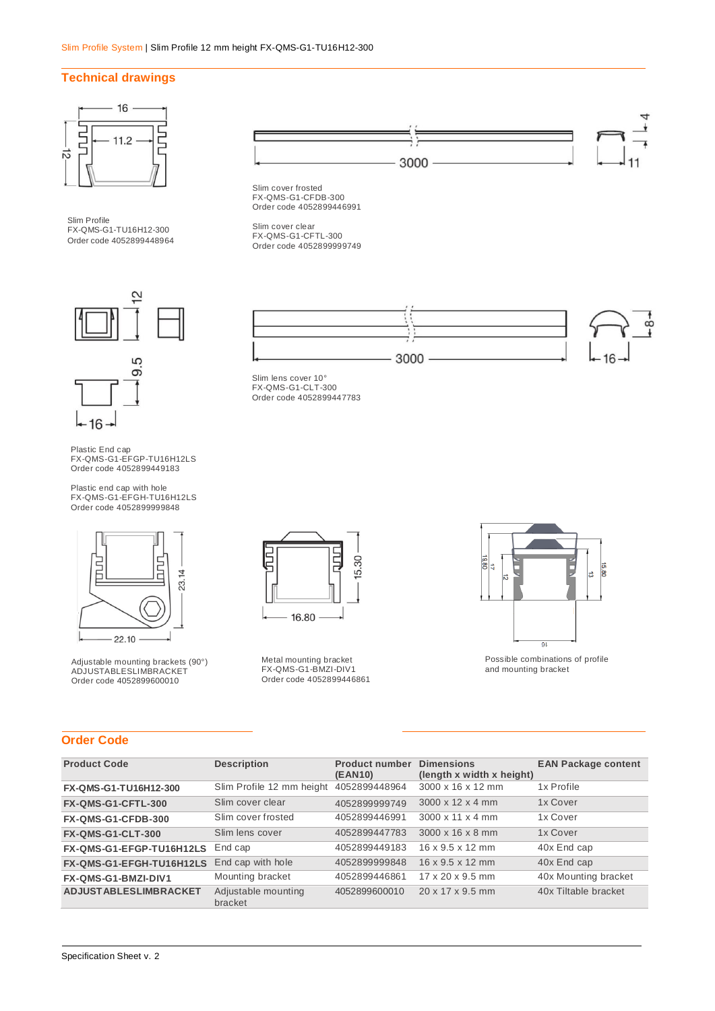#### **Technical drawings**



Slim Profile FX-QMS-G1-TU16H12-300 Order code 4052899448964





 $-16$ 

Plastic end cap with hole FX-QMS-G1-EFGH-TU16H12LS Order code 4052899999848







Slim cover frosted FX-QMS-G1-CFDB-300 Order code 4052899446991

Slim cover clear FX-QMS-G1-CFTL-300 Order code 4052899999749



Slim lens cover 10° FX-QMS-G1-CLT-300 Order code 4052899447783



Metal mounting bracket FX-QMS-G1-BMZI-DIV1 Order code 4052899446861



Possible combinations of profile and mounting bracket

## **Order Code**

| <b>Product Code</b>          | <b>Description</b>             | <b>Product number</b><br>(EAN10) | <b>Dimensions</b><br>(length x width x height) | <b>EAN Package content</b> |
|------------------------------|--------------------------------|----------------------------------|------------------------------------------------|----------------------------|
| FX-QMS-G1-TU16H12-300        | Slim Profile 12 mm height      | 4052899448964                    | 3000 x 16 x 12 mm                              | 1x Profile                 |
| FX-QMS-G1-CFTL-300           | Slim cover clear               | 4052899999749                    | $3000 \times 12 \times 4$ mm                   | 1x Cover                   |
| FX-QMS-G1-CFDB-300           | Slim cover frosted             | 4052899446991                    | $3000 \times 11 \times 4$ mm                   | 1x Cover                   |
| <b>FX-QMS-G1-CLT-300</b>     | Slim lens cover                | 4052899447783                    | 3000 x 16 x 8 mm                               | 1x Cover                   |
| FX-QMS-G1-EFGP-TU16H12LS     | End cap                        | 4052899449183                    | $16 \times 9.5 \times 12$ mm                   | 40x End cap                |
| FX-QMS-G1-EFGH-TU16H12LS     | End cap with hole              | 4052899999848                    | $16 \times 9.5 \times 12$ mm                   | 40x End cap                |
| FX-QMS-G1-BMZI-DIV1          | Mounting bracket               | 4052899446861                    | $17 \times 20 \times 9.5$ mm                   | 40x Mounting bracket       |
| <b>ADJUSTABLESLIMBRACKET</b> | Adjustable mounting<br>bracket | 4052899600010                    | $20 \times 17 \times 9.5$ mm                   | 40x Tiltable bracket       |